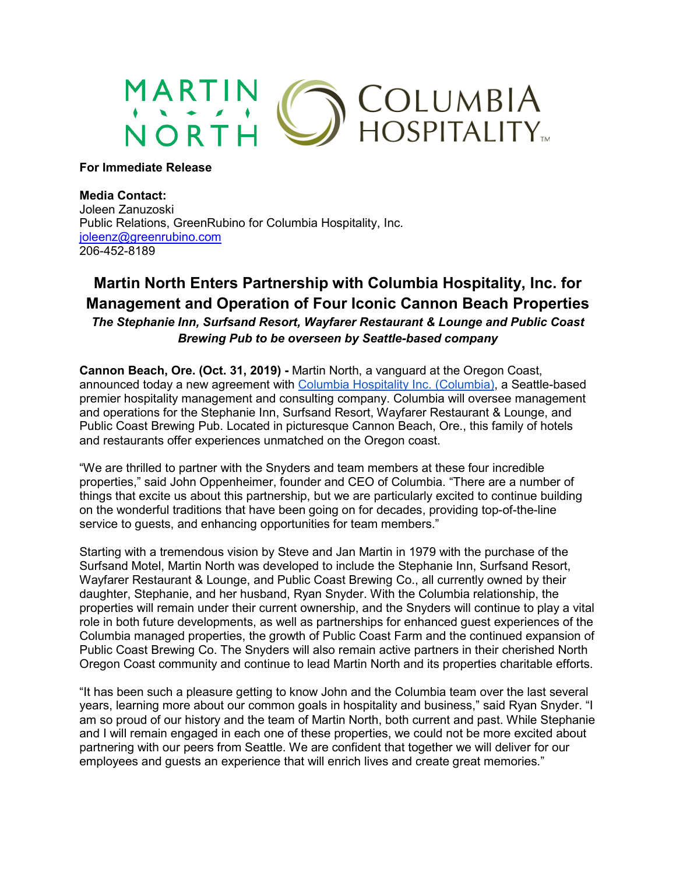

**For Immediate Release**

## **Media Contact:**

Joleen Zanuzoski Public Relations, GreenRubino for Columbia Hospitality, Inc. [joleenz@greenrubino.com](mailto:joleenz@greenrubino.com) 206-452-8189

# **Martin North Enters Partnership with Columbia Hospitality, Inc. for Management and Operation of Four Iconic Cannon Beach Properties**

*The Stephanie Inn, Surfsand Resort, Wayfarer Restaurant & Lounge and Public Coast Brewing Pub to be overseen by Seattle-based company*

**Cannon Beach, Ore. (Oct. 31, 2019) -** Martin North, a vanguard at the Oregon Coast, announced today a new agreement with [Columbia Hospitality Inc.](https://www.columbiahospitality.com/) (Columbia), a Seattle-based premier hospitality management and consulting company. Columbia will oversee management and operations for the Stephanie Inn, Surfsand Resort, Wayfarer Restaurant & Lounge, and Public Coast Brewing Pub. Located in picturesque Cannon Beach, Ore., this family of hotels and restaurants offer experiences unmatched on the Oregon coast.

"We are thrilled to partner with the Snyders and team members at these four incredible properties," said John Oppenheimer, founder and CEO of Columbia. "There are a number of things that excite us about this partnership, but we are particularly excited to continue building on the wonderful traditions that have been going on for decades, providing top-of-the-line service to guests, and enhancing opportunities for team members."

Starting with a tremendous vision by Steve and Jan Martin in 1979 with the purchase of the Surfsand Motel, Martin North was developed to include the Stephanie Inn, Surfsand Resort, Wayfarer Restaurant & Lounge, and Public Coast Brewing Co., all currently owned by their daughter, Stephanie, and her husband, Ryan Snyder. With the Columbia relationship, the properties will remain under their current ownership, and the Snyders will continue to play a vital role in both future developments, as well as partnerships for enhanced guest experiences of the Columbia managed properties, the growth of Public Coast Farm and the continued expansion of Public Coast Brewing Co. The Snyders will also remain active partners in their cherished North Oregon Coast community and continue to lead Martin North and its properties charitable efforts.

"It has been such a pleasure getting to know John and the Columbia team over the last several years, learning more about our common goals in hospitality and business," said Ryan Snyder. "I am so proud of our history and the team of Martin North, both current and past. While Stephanie and I will remain engaged in each one of these properties, we could not be more excited about partnering with our peers from Seattle. We are confident that together we will deliver for our employees and guests an experience that will enrich lives and create great memories."